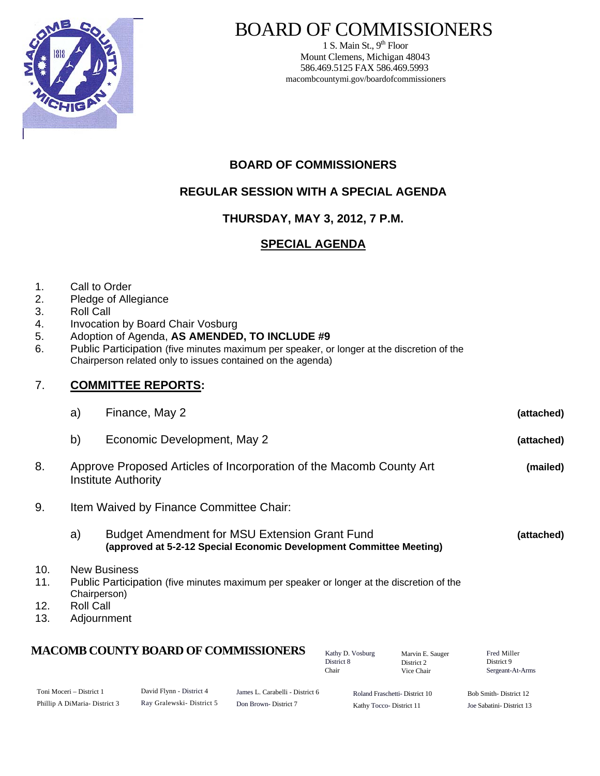

# BOARD OF COMMISSIONERS

1 S. Main St.,  $9<sup>th</sup>$  Floor Mount Clemens, Michigan 48043 586.469.5125 FAX 586.469.5993 macombcountymi.gov/boardofcommissioners

# **BOARD OF COMMISSIONERS**

# **REGULAR SESSION WITH A SPECIAL AGENDA**

# **THURSDAY, MAY 3, 2012, 7 P.M.**

# **SPECIAL AGENDA**

- 1. Call to Order
- 2. Pledge of Allegiance
- 3. Roll Call
- 4. Invocation by Board Chair Vosburg
- 5. Adoption of Agenda, **AS AMENDED, TO INCLUDE #9**
- 6. Public Participation (five minutes maximum per speaker, or longer at the discretion of the Chairperson related only to issues contained on the agenda)

## 7. **COMMITTEE REPORTS:**

| a) | Finance, May 2              | (attached) |
|----|-----------------------------|------------|
| b) | Economic Development, May 2 | (attached) |

- 8. Approve Proposed Articles of Incorporation of the Macomb County Art **(mailed)**  Institute Authority
- 9. Item Waived by Finance Committee Chair:

#### a) Budget Amendment for MSU Extension Grant Fund **(attached) (approved at 5-2-12 Special Economic Development Committee Meeting)**

- 10. New Business
- 11. Public Participation (five minutes maximum per speaker or longer at the discretion of the Chairperson)
- 12. Roll Call
- 13. Adjournment

# **MACOMB COUNTY BOARD OF COMMISSIONERS** Factor D. Vosburg Marvin F. Sauger Fred Miller

Toni Moceri – District 1 Phillip A DiMaria- District 3 David Flynn - District 4 Ray Gralewski- District 5 Roland Fraschetti- District 10 James L. Carabelli - District 6 Don Brown- District 7 Bob Smith- District 12 Joe Sabatini- District 13

Kathy Tocco- District 11

Marvin E. Sauger District 2 Vice Chair

Kathy D. Vosburg District 8 Chair

Sergeant-At-Arms

District 9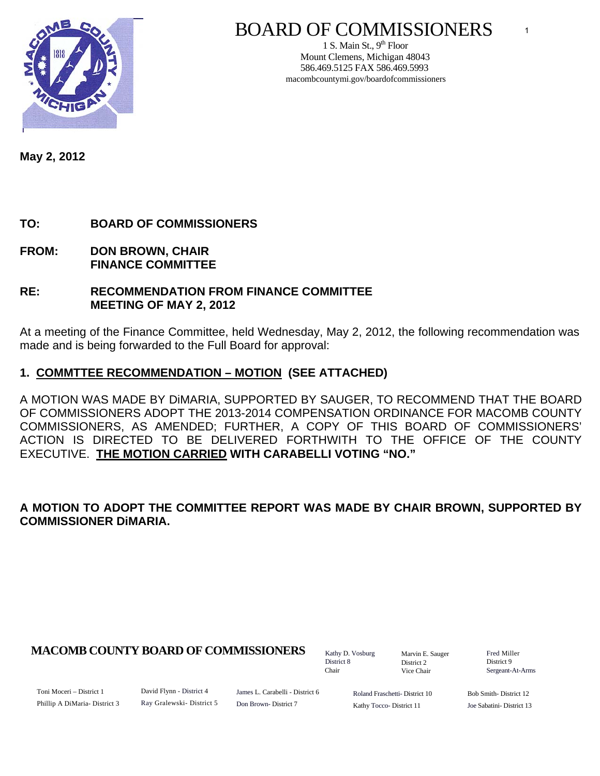

# BOARD OF COMMISSIONERS

1 S. Main St.,  $9<sup>th</sup>$  Floor Mount Clemens, Michigan 48043 586.469.5125 FAX 586.469.5993 macombcountymi.gov/boardofcommissioners

**May 2, 2012** 

# **TO: BOARD OF COMMISSIONERS**

- **FROM: DON BROWN, CHAIR FINANCE COMMITTEE**
- **RE: RECOMMENDATION FROM FINANCE COMMITTEE MEETING OF MAY 2, 2012**

At a meeting of the Finance Committee, held Wednesday, May 2, 2012, the following recommendation was made and is being forwarded to the Full Board for approval:

#### **1. COMMTTEE RECOMMENDATION – MOTION (SEE ATTACHED)**

A MOTION WAS MADE BY DiMARIA, SUPPORTED BY SAUGER, TO RECOMMEND THAT THE BOARD OF COMMISSIONERS ADOPT THE 2013-2014 COMPENSATION ORDINANCE FOR MACOMB COUNTY COMMISSIONERS, AS AMENDED; FURTHER, A COPY OF THIS BOARD OF COMMISSIONERS' ACTION IS DIRECTED TO BE DELIVERED FORTHWITH TO THE OFFICE OF THE COUNTY EXECUTIVE. **THE MOTION CARRIED WITH CARABELLI VOTING "NO."** 

#### **A MOTION TO ADOPT THE COMMITTEE REPORT WAS MADE BY CHAIR BROWN, SUPPORTED BY COMMISSIONER DiMARIA.**

#### **MACOMB COUNTY BOARD OF COMMISSIONERS** Factor D. Vosburg Marvin F. Sauger Fred Miller

Kathy D. Vosburg District 8 Chair

Marvin E. Sauger District 2 Vice Chair

District 9 Sergeant-At-Arms

Toni Moceri – District 1 Phillip A DiMaria- District 3 David Flynn - District 4 Ray Gralewski- District 5

James L. Carabelli - District 6 Don Brown- District 7

Roland Fraschetti- District 10 Kathy Tocco- District 11

Bob Smith- District 12 Joe Sabatini- District 13

1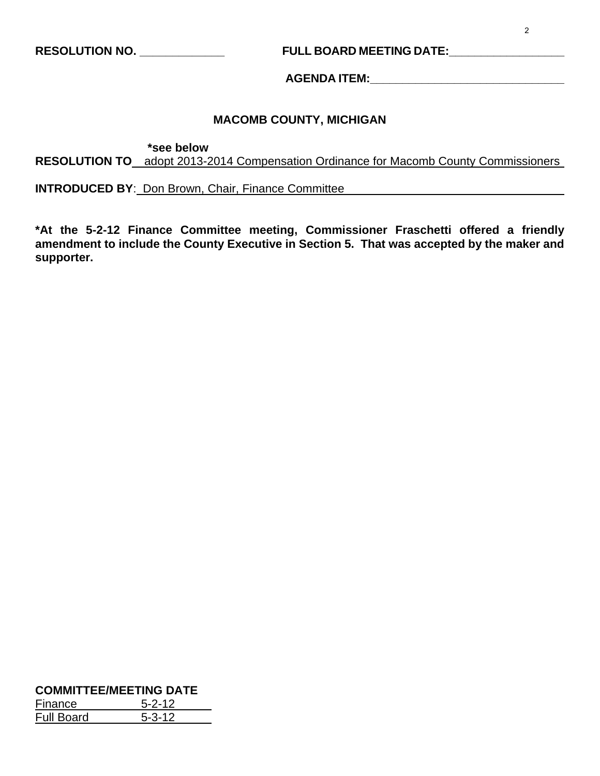# **RESOLUTION NO. \_\_\_\_\_\_\_\_\_\_\_\_\_ FULL BOARD MEETING DATE:\_\_\_\_\_\_\_\_\_\_\_\_\_\_\_\_\_\_**

**AGENDA ITEM:\_\_\_\_\_\_\_\_\_\_\_\_\_\_\_\_\_\_\_\_\_\_\_\_\_\_\_\_\_\_** 

#### **MACOMB COUNTY, MICHIGAN**

 **\*see below** 

**RESOLUTION TO** adopt 2013-2014 Compensation Ordinance for Macomb County Commissioners

**INTRODUCED BY**: Don Brown, Chair, Finance Committee

**\*At the 5-2-12 Finance Committee meeting, Commissioner Fraschetti offered a friendly amendment to include the County Executive in Section 5. That was accepted by the maker and supporter.** 

#### **COMMITTEE/MEETING DATE** Finance 5-2-12 Full Board 5-3-12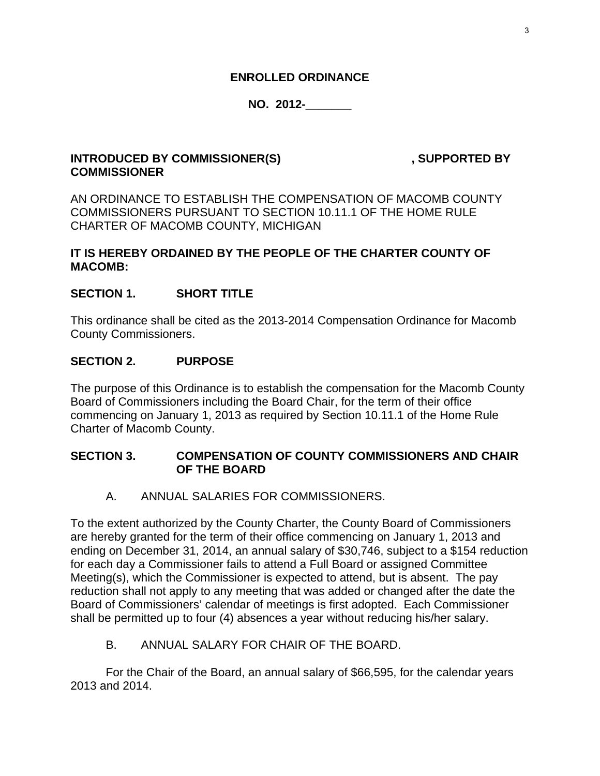#### **ENROLLED ORDINANCE**

# **NO. 2012-\_\_\_\_\_\_\_**

### **INTRODUCED BY COMMISSIONER(S)** , SUPPORTED BY **COMMISSIONER**

AN ORDINANCE TO ESTABLISH THE COMPENSATION OF MACOMB COUNTY COMMISSIONERS PURSUANT TO SECTION 10.11.1 OF THE HOME RULE CHARTER OF MACOMB COUNTY, MICHIGAN

### **IT IS HEREBY ORDAINED BY THE PEOPLE OF THE CHARTER COUNTY OF MACOMB:**

#### **SECTION 1. SHORT TITLE**

This ordinance shall be cited as the 2013-2014 Compensation Ordinance for Macomb County Commissioners.

#### **SECTION 2. PURPOSE**

The purpose of this Ordinance is to establish the compensation for the Macomb County Board of Commissioners including the Board Chair, for the term of their office commencing on January 1, 2013 as required by Section 10.11.1 of the Home Rule Charter of Macomb County.

#### **SECTION 3. COMPENSATION OF COUNTY COMMISSIONERS AND CHAIR OF THE BOARD**

A. ANNUAL SALARIES FOR COMMISSIONERS.

To the extent authorized by the County Charter, the County Board of Commissioners are hereby granted for the term of their office commencing on January 1, 2013 and ending on December 31, 2014, an annual salary of \$30,746, subject to a \$154 reduction for each day a Commissioner fails to attend a Full Board or assigned Committee Meeting(s), which the Commissioner is expected to attend, but is absent. The pay reduction shall not apply to any meeting that was added or changed after the date the Board of Commissioners' calendar of meetings is first adopted. Each Commissioner shall be permitted up to four (4) absences a year without reducing his/her salary.

#### B. ANNUAL SALARY FOR CHAIR OF THE BOARD.

 For the Chair of the Board, an annual salary of \$66,595, for the calendar years 2013 and 2014.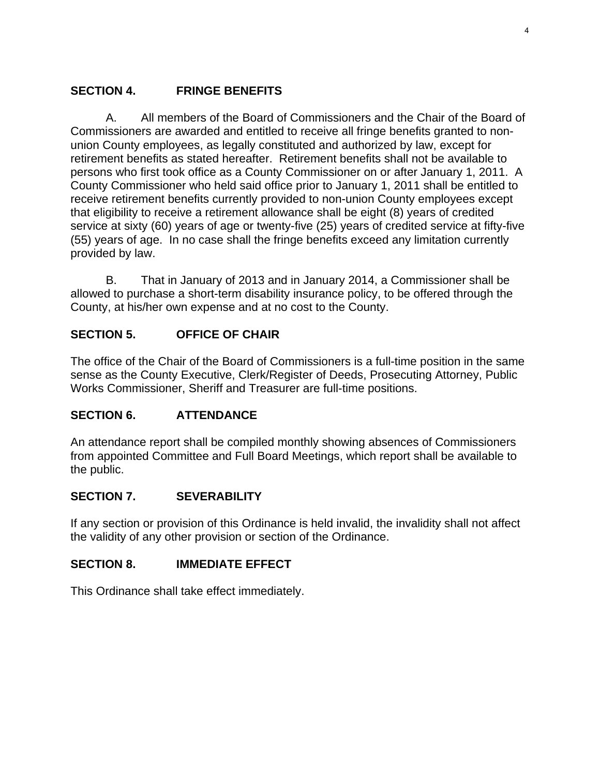# **SECTION 4. FRINGE BENEFITS**

 A. All members of the Board of Commissioners and the Chair of the Board of Commissioners are awarded and entitled to receive all fringe benefits granted to nonunion County employees, as legally constituted and authorized by law, except for retirement benefits as stated hereafter. Retirement benefits shall not be available to persons who first took office as a County Commissioner on or after January 1, 2011. A County Commissioner who held said office prior to January 1, 2011 shall be entitled to receive retirement benefits currently provided to non-union County employees except that eligibility to receive a retirement allowance shall be eight (8) years of credited service at sixty (60) years of age or twenty-five (25) years of credited service at fifty-five (55) years of age. In no case shall the fringe benefits exceed any limitation currently provided by law.

 B. That in January of 2013 and in January 2014, a Commissioner shall be allowed to purchase a short-term disability insurance policy, to be offered through the County, at his/her own expense and at no cost to the County.

# **SECTION 5. OFFICE OF CHAIR**

The office of the Chair of the Board of Commissioners is a full-time position in the same sense as the County Executive, Clerk/Register of Deeds, Prosecuting Attorney, Public Works Commissioner, Sheriff and Treasurer are full-time positions.

# **SECTION 6. ATTENDANCE**

An attendance report shall be compiled monthly showing absences of Commissioners from appointed Committee and Full Board Meetings, which report shall be available to the public.

# **SECTION 7. SEVERABILITY**

If any section or provision of this Ordinance is held invalid, the invalidity shall not affect the validity of any other provision or section of the Ordinance.

# **SECTION 8. IMMEDIATE EFFECT**

This Ordinance shall take effect immediately.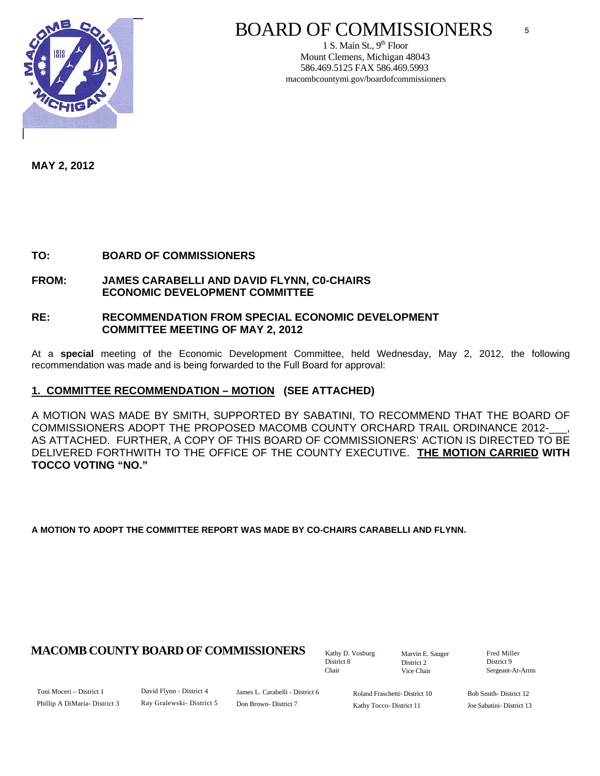

# BOARD OF COMMISSIONERS

1 S. Main St.,  $9<sup>th</sup>$  Floor Mount Clemens, Michigan 48043 586.469.5125 FAX 586.469.5993 macombcountymi.gov/boardofcommissioners

**MAY 2, 2012** 

**TO: BOARD OF COMMISSIONERS** 

**FROM: JAMES CARABELLI AND DAVID FLYNN, C0-CHAIRS ECONOMIC DEVELOPMENT COMMITTEE** 

#### **RE: RECOMMENDATION FROM SPECIAL ECONOMIC DEVELOPMENT COMMITTEE MEETING OF MAY 2, 2012**

At a **special** meeting of the Economic Development Committee, held Wednesday, May 2, 2012, the following recommendation was made and is being forwarded to the Full Board for approval:

#### **1. COMMITTEE RECOMMENDATION – MOTION (SEE ATTACHED)**

A MOTION WAS MADE BY SMITH, SUPPORTED BY SABATINI, TO RECOMMEND THAT THE BOARD OF COMMISSIONERS ADOPT THE PROPOSED MACOMB COUNTY ORCHARD TRAIL ORDINANCE 2012-AS ATTACHED. FURTHER, A COPY OF THIS BOARD OF COMMISSIONERS' ACTION IS DIRECTED TO BE DELIVERED FORTHWITH TO THE OFFICE OF THE COUNTY EXECUTIVE. **THE MOTION CARRIED WITH TOCCO VOTING "NO."**

**A MOTION TO ADOPT THE COMMITTEE REPORT WAS MADE BY CO-CHAIRS CARABELLI AND FLYNN.** 

#### **MACOMB COUNTY BOARD OF COMMISSIONERS** Fathy D. Vosburg Martin E. Square Fred Miller

Kathy D. Vosburg District 8 Chair

Marvin E. Sauger District 2 Vice Chair

District 9 Sergeant-At-Arms

5

Toni Moceri – District 1 Phillip A DiMaria- District 3 David Flynn - District 4 Ray Gralewski- District 5 James L. Carabelli - District 6 Don Brown- District 7

Roland Fraschetti- District 10 Kathy Tocco- District 11

Bob Smith- District 12 Joe Sabatini- District 13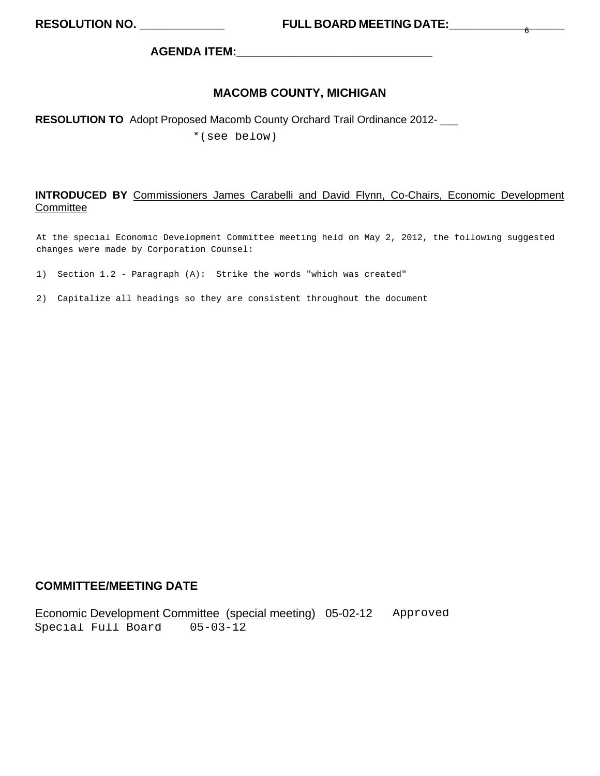**AGENDA ITEM:\_\_\_\_\_\_\_\_\_\_\_\_\_\_\_\_\_\_\_\_\_\_\_\_\_\_\_\_\_\_** 

#### **MACOMB COUNTY, MICHIGAN**

#### **RESOLUTION TO** Adopt Proposed Macomb County Orchard Trail Ordinance 2012- \_\_\_

\*(see below)

#### **INTRODUCED BY** Commissioners James Carabelli and David Flynn, Co-Chairs, Economic Development **Committee**

At the special Economic Development Committee meeting held on May 2, 2012, the following suggested changes were made by Corporation Counsel:

- 1) Section 1.2 Paragraph (A): Strike the words "which was created"
- 2) Capitalize all headings so they are consistent throughout the document

#### **COMMITTEE/MEETING DATE**

Economic Development Committee (special meeting) 05-02-12 Approved Special Full Board 05-03-12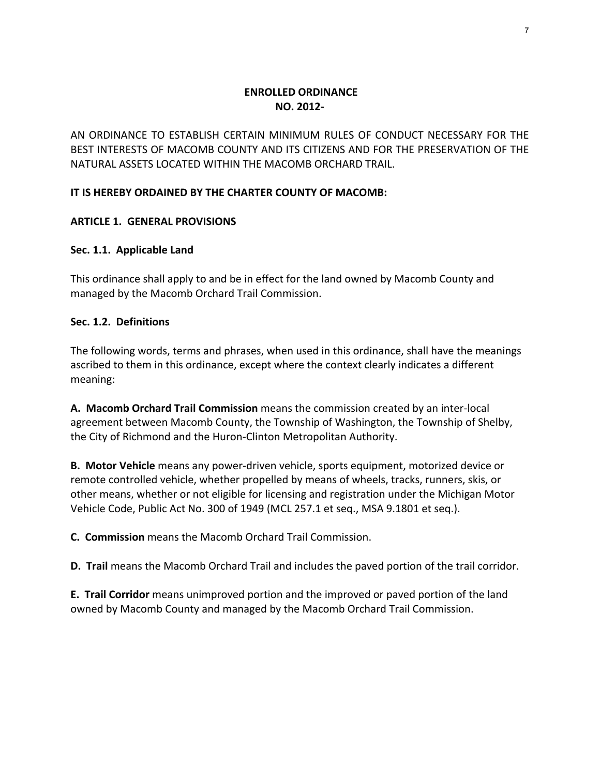#### **ENROLLED ORDINANCE NO. 2012‐**

AN ORDINANCE TO ESTABLISH CERTAIN MINIMUM RULES OF CONDUCT NECESSARY FOR THE BEST INTERESTS OF MACOMB COUNTY AND ITS CITIZENS AND FOR THE PRESERVATION OF THE NATURAL ASSETS LOCATED WITHIN THE MACOMB ORCHARD TRAIL.

#### **IT IS HEREBY ORDAINED BY THE CHARTER COUNTY OF MACOMB:**

#### **ARTICLE 1. GENERAL PROVISIONS**

#### **Sec. 1.1. Applicable Land**

This ordinance shall apply to and be in effect for the land owned by Macomb County and managed by the Macomb Orchard Trail Commission.

#### **Sec. 1.2. Definitions**

The following words, terms and phrases, when used in this ordinance, shall have the meanings ascribed to them in this ordinance, except where the context clearly indicates a different meaning:

**A. Macomb Orchard Trail Commission** means the commission created by an inter‐local agreement between Macomb County, the Township of Washington, the Township of Shelby, the City of Richmond and the Huron‐Clinton Metropolitan Authority.

**B. Motor Vehicle** means any power‐driven vehicle, sports equipment, motorized device or remote controlled vehicle, whether propelled by means of wheels, tracks, runners, skis, or other means, whether or not eligible for licensing and registration under the Michigan Motor Vehicle Code, Public Act No. 300 of 1949 (MCL 257.1 et seq., MSA 9.1801 et seq.).

**C. Commission** means the Macomb Orchard Trail Commission.

**D. Trail** means the Macomb Orchard Trail and includes the paved portion of the trail corridor.

**E. Trail Corridor** means unimproved portion and the improved or paved portion of the land owned by Macomb County and managed by the Macomb Orchard Trail Commission.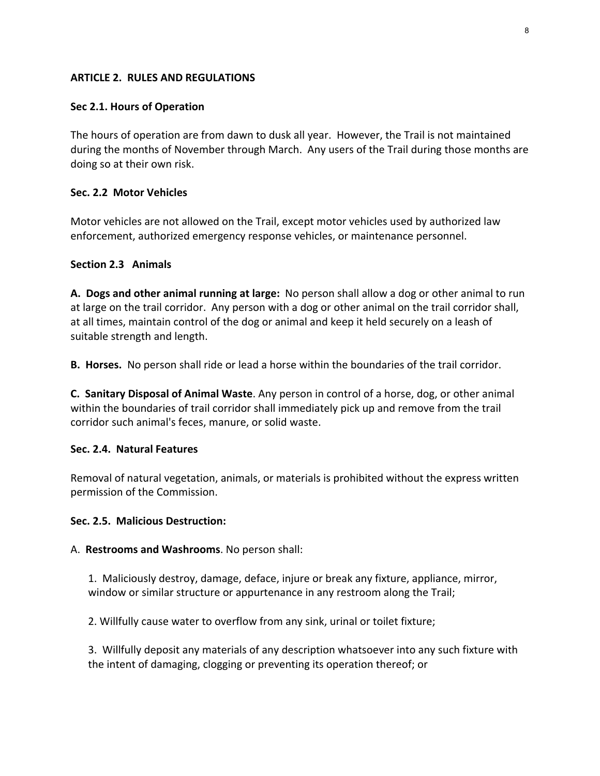#### **ARTICLE 2. RULES AND REGULATIONS**

#### **Sec 2.1. Hours of Operation**

The hours of operation are from dawn to dusk all year. However, the Trail is not maintained during the months of November through March. Any users of the Trail during those months are doing so at their own risk.

#### **Sec. 2.2 Motor Vehicles**

Motor vehicles are not allowed on the Trail, except motor vehicles used by authorized law enforcement, authorized emergency response vehicles, or maintenance personnel.

#### **Section 2.3 Animals**

**A. Dogs and other animal running at large:** No person shall allow a dog or other animal to run at large on the trail corridor. Any person with a dog or other animal on the trail corridor shall, at all times, maintain control of the dog or animal and keep it held securely on a leash of suitable strength and length.

**B. Horses.** No person shall ride or lead a horse within the boundaries of the trail corridor.

**C. Sanitary Disposal of Animal Waste**. Any person in control of a horse, dog, or other animal within the boundaries of trail corridor shall immediately pick up and remove from the trail corridor such animal's feces, manure, or solid waste.

#### **Sec. 2.4. Natural Features**

Removal of natural vegetation, animals, or materials is prohibited without the express written permission of the Commission.

#### **Sec. 2.5. Malicious Destruction:**

#### A. **Restrooms and Washrooms**. No person shall:

1. Maliciously destroy, damage, deface, injure or break any fixture, appliance, mirror, window or similar structure or appurtenance in any restroom along the Trail;

2. Willfully cause water to overflow from any sink, urinal or toilet fixture;

3. Willfully deposit any materials of any description whatsoever into any such fixture with the intent of damaging, clogging or preventing its operation thereof; or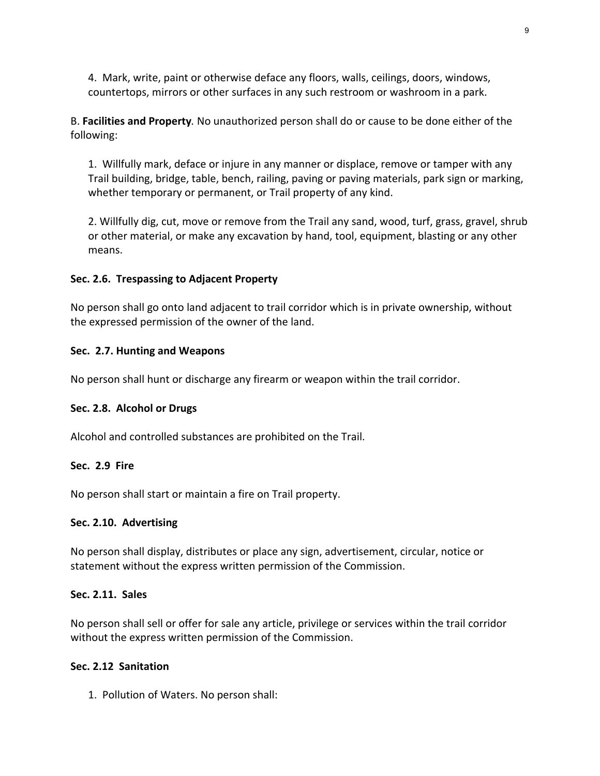4. Mark, write, paint or otherwise deface any floors, walls, ceilings, doors, windows, countertops, mirrors or other surfaces in any such restroom or washroom in a park.

B. **Facilities and Property***.* No unauthorized person shall do or cause to be done either of the following:

1. Willfully mark, deface or injure in any manner or displace, remove or tamper with any Trail building, bridge, table, bench, railing, paving or paving materials, park sign or marking, whether temporary or permanent, or Trail property of any kind.

2. Willfully dig, cut, move or remove from the Trail any sand, wood, turf, grass, gravel, shrub or other material, or make any excavation by hand, tool, equipment, blasting or any other means.

#### **Sec. 2.6. Trespassing to Adjacent Property**

No person shall go onto land adjacent to trail corridor which is in private ownership, without the expressed permission of the owner of the land.

#### **Sec. 2.7. Hunting and Weapons**

No person shall hunt or discharge any firearm or weapon within the trail corridor.

#### **Sec. 2.8. Alcohol or Drugs**

Alcohol and controlled substances are prohibited on the Trail.

#### **Sec. 2.9 Fire**

No person shall start or maintain a fire on Trail property.

#### **Sec. 2.10. Advertising**

No person shall display, distributes or place any sign, advertisement, circular, notice or statement without the express written permission of the Commission.

#### **Sec. 2.11. Sales**

No person shall sell or offer for sale any article, privilege or services within the trail corridor without the express written permission of the Commission.

#### **Sec. 2.12 Sanitation**

1. Pollution of Waters. No person shall: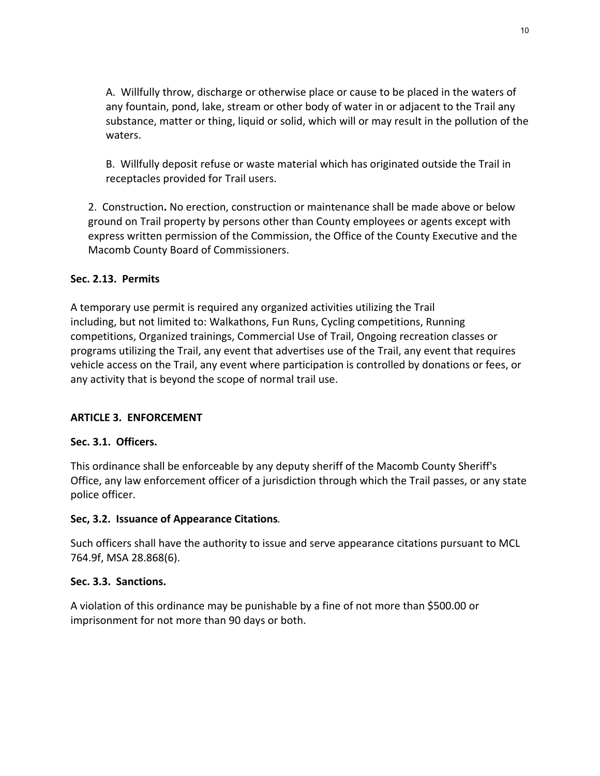A. Willfully throw, discharge or otherwise place or cause to be placed in the waters of any fountain, pond, lake, stream or other body of water in or adjacent to the Trail any substance, matter or thing, liquid or solid, which will or may result in the pollution of the waters.

B. Willfully deposit refuse or waste material which has originated outside the Trail in receptacles provided for Trail users.

2. Construction**.** No erection, construction or maintenance shall be made above or below ground on Trail property by persons other than County employees or agents except with express written permission of the Commission, the Office of the County Executive and the Macomb County Board of Commissioners.

#### **Sec. 2.13. Permits**

A temporary use permit is required any organized activities utilizing the Trail including, but not limited to: Walkathons, Fun Runs, Cycling competitions, Running competitions, Organized trainings, Commercial Use of Trail, Ongoing recreation classes or programs utilizing the Trail, any event that advertises use of the Trail, any event that requires vehicle access on the Trail, any event where participation is controlled by donations or fees, or any activity that is beyond the scope of normal trail use.

#### **ARTICLE 3. ENFORCEMENT**

#### **Sec. 3.1. Officers.**

This ordinance shall be enforceable by any deputy sheriff of the Macomb County Sheriff's Office, any law enforcement officer of a jurisdiction through which the Trail passes, or any state police officer.

#### **Sec, 3.2. Issuance of Appearance Citations***.*

Such officers shall have the authority to issue and serve appearance citations pursuant to MCL 764.9f, MSA 28.868(6).

#### **Sec. 3.3. Sanctions.**

A violation of this ordinance may be punishable by a fine of not more than \$500.00 or imprisonment for not more than 90 days or both.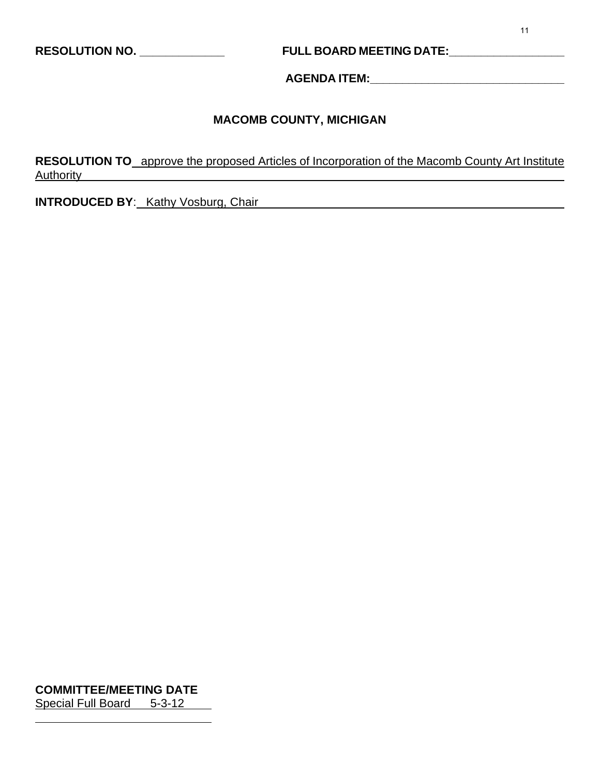# **RESOLUTION NO. \_\_\_\_\_\_\_\_\_\_\_\_\_ FULL BOARD MEETING DATE:\_\_\_\_\_\_\_\_\_\_\_\_\_\_\_\_\_\_**

**AGENDA ITEM:\_\_\_\_\_\_\_\_\_\_\_\_\_\_\_\_\_\_\_\_\_\_\_\_\_\_\_\_\_\_** 

# **MACOMB COUNTY, MICHIGAN**

**RESOLUTION TO** approve the proposed Articles of Incorporation of the Macomb County Art Institute Authority

**INTRODUCED BY:** Kathy Vosburg, Chair

**COMMITTEE/MEETING DATE** Special Full Board 5-3-12

 $\overline{a}$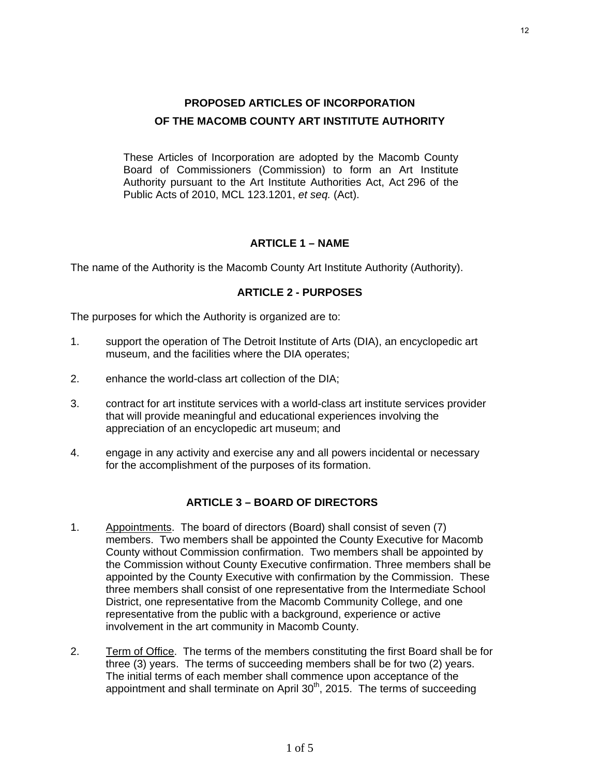These Articles of Incorporation are adopted by the Macomb County Board of Commissioners (Commission) to form an Art Institute Authority pursuant to the Art Institute Authorities Act, Act 296 of the Public Acts of 2010, MCL 123.1201, *et seq.* (Act).

#### **ARTICLE 1 – NAME**

The name of the Authority is the Macomb County Art Institute Authority (Authority).

#### **ARTICLE 2 - PURPOSES**

The purposes for which the Authority is organized are to:

- 1. support the operation of The Detroit Institute of Arts (DIA), an encyclopedic art museum, and the facilities where the DIA operates;
- 2. enhance the world-class art collection of the DIA;
- 3. contract for art institute services with a world-class art institute services provider that will provide meaningful and educational experiences involving the appreciation of an encyclopedic art museum; and
- 4. engage in any activity and exercise any and all powers incidental or necessary for the accomplishment of the purposes of its formation.

#### **ARTICLE 3 – BOARD OF DIRECTORS**

- 1. Appointments. The board of directors (Board) shall consist of seven (7) members. Two members shall be appointed the County Executive for Macomb County without Commission confirmation. Two members shall be appointed by the Commission without County Executive confirmation. Three members shall be appointed by the County Executive with confirmation by the Commission. These three members shall consist of one representative from the Intermediate School District, one representative from the Macomb Community College, and one representative from the public with a background, experience or active involvement in the art community in Macomb County.
- 2. Term of Office. The terms of the members constituting the first Board shall be for three (3) years. The terms of succeeding members shall be for two (2) years. The initial terms of each member shall commence upon acceptance of the appointment and shall terminate on April 30<sup>th</sup>, 2015. The terms of succeeding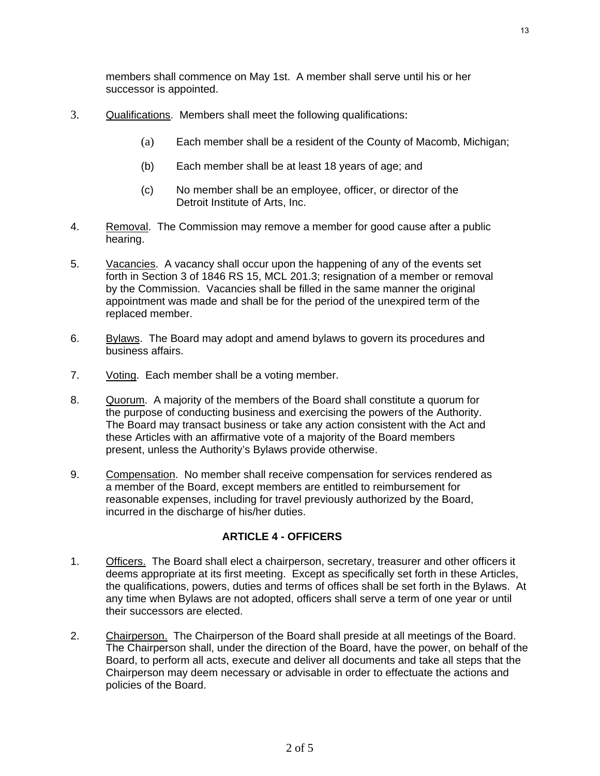members shall commence on May 1st. A member shall serve until his or her successor is appointed.

- 3. Qualifications. Members shall meet the following qualifications:
	- (a) Each member shall be a resident of the County of Macomb, Michigan;
	- (b) Each member shall be at least 18 years of age; and
	- (c) No member shall be an employee, officer, or director of the Detroit Institute of Arts, Inc.
- 4. Removal. The Commission may remove a member for good cause after a public hearing.
- 5. Vacancies. A vacancy shall occur upon the happening of any of the events set forth in Section 3 of 1846 RS 15, MCL 201.3; resignation of a member or removal by the Commission. Vacancies shall be filled in the same manner the original appointment was made and shall be for the period of the unexpired term of the replaced member.
- 6. Bylaws. The Board may adopt and amend bylaws to govern its procedures and business affairs.
- 7. Voting. Each member shall be a voting member.
- 8. Quorum. A majority of the members of the Board shall constitute a quorum for the purpose of conducting business and exercising the powers of the Authority. The Board may transact business or take any action consistent with the Act and these Articles with an affirmative vote of a majority of the Board members present, unless the Authority's Bylaws provide otherwise.
- 9. Compensation. No member shall receive compensation for services rendered as a member of the Board, except members are entitled to reimbursement for reasonable expenses, including for travel previously authorized by the Board, incurred in the discharge of his/her duties.

#### **ARTICLE 4 - OFFICERS**

- 1. Officers. The Board shall elect a chairperson, secretary, treasurer and other officers it deems appropriate at its first meeting. Except as specifically set forth in these Articles, the qualifications, powers, duties and terms of offices shall be set forth in the Bylaws. At any time when Bylaws are not adopted, officers shall serve a term of one year or until their successors are elected.
- 2. Chairperson. The Chairperson of the Board shall preside at all meetings of the Board. The Chairperson shall, under the direction of the Board, have the power, on behalf of the Board, to perform all acts, execute and deliver all documents and take all steps that the Chairperson may deem necessary or advisable in order to effectuate the actions and policies of the Board.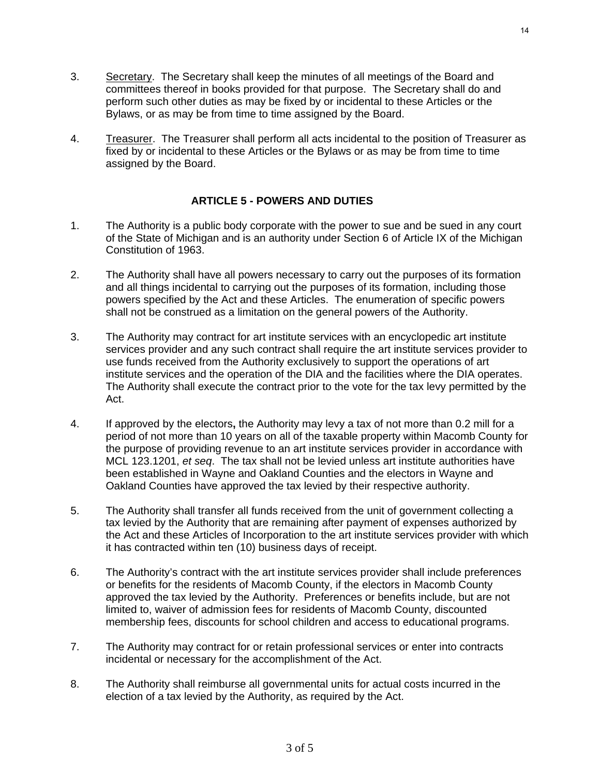- 3. Secretary. The Secretary shall keep the minutes of all meetings of the Board and committees thereof in books provided for that purpose. The Secretary shall do and perform such other duties as may be fixed by or incidental to these Articles or the Bylaws, or as may be from time to time assigned by the Board.
- 4. Treasurer. The Treasurer shall perform all acts incidental to the position of Treasurer as fixed by or incidental to these Articles or the Bylaws or as may be from time to time assigned by the Board.

#### **ARTICLE 5 - POWERS AND DUTIES**

- 1. The Authority is a public body corporate with the power to sue and be sued in any court of the State of Michigan and is an authority under Section 6 of Article IX of the Michigan Constitution of 1963.
- 2. The Authority shall have all powers necessary to carry out the purposes of its formation and all things incidental to carrying out the purposes of its formation, including those powers specified by the Act and these Articles. The enumeration of specific powers shall not be construed as a limitation on the general powers of the Authority.
- 3. The Authority may contract for art institute services with an encyclopedic art institute services provider and any such contract shall require the art institute services provider to use funds received from the Authority exclusively to support the operations of art institute services and the operation of the DIA and the facilities where the DIA operates. The Authority shall execute the contract prior to the vote for the tax levy permitted by the Act.
- 4. If approved by the electors**,** the Authority may levy a tax of not more than 0.2 mill for a period of not more than 10 years on all of the taxable property within Macomb County for the purpose of providing revenue to an art institute services provider in accordance with MCL 123.1201, *et seq*. The tax shall not be levied unless art institute authorities have been established in Wayne and Oakland Counties and the electors in Wayne and Oakland Counties have approved the tax levied by their respective authority.
- 5. The Authority shall transfer all funds received from the unit of government collecting a tax levied by the Authority that are remaining after payment of expenses authorized by the Act and these Articles of Incorporation to the art institute services provider with which it has contracted within ten (10) business days of receipt.
- 6. The Authority's contract with the art institute services provider shall include preferences or benefits for the residents of Macomb County, if the electors in Macomb County approved the tax levied by the Authority. Preferences or benefits include, but are not limited to, waiver of admission fees for residents of Macomb County, discounted membership fees, discounts for school children and access to educational programs.
- 7. The Authority may contract for or retain professional services or enter into contracts incidental or necessary for the accomplishment of the Act.
- 8. The Authority shall reimburse all governmental units for actual costs incurred in the election of a tax levied by the Authority, as required by the Act.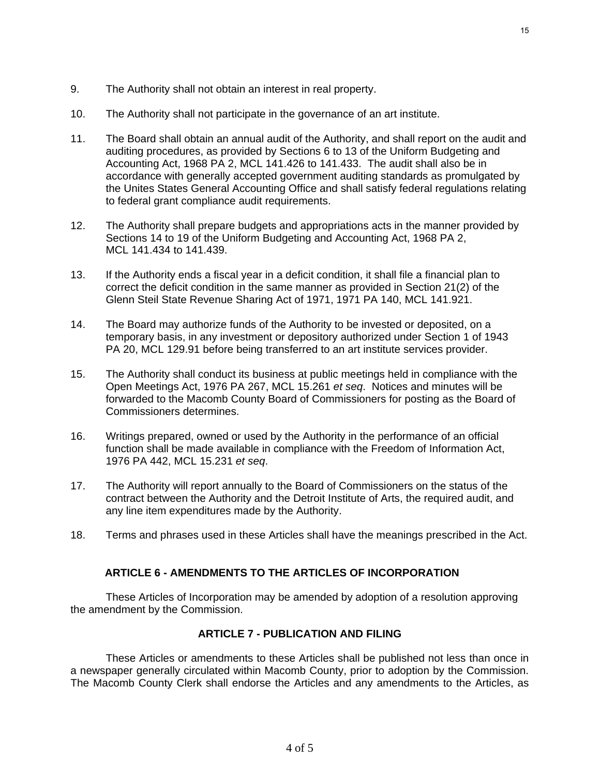- 9. The Authority shall not obtain an interest in real property.
- 10. The Authority shall not participate in the governance of an art institute.
- 11. The Board shall obtain an annual audit of the Authority, and shall report on the audit and auditing procedures, as provided by Sections 6 to 13 of the Uniform Budgeting and Accounting Act, 1968 PA 2, MCL 141.426 to 141.433. The audit shall also be in accordance with generally accepted government auditing standards as promulgated by the Unites States General Accounting Office and shall satisfy federal regulations relating to federal grant compliance audit requirements.
- 12. The Authority shall prepare budgets and appropriations acts in the manner provided by Sections 14 to 19 of the Uniform Budgeting and Accounting Act, 1968 PA 2, MCL 141.434 to 141.439.
- 13. If the Authority ends a fiscal year in a deficit condition, it shall file a financial plan to correct the deficit condition in the same manner as provided in Section 21(2) of the Glenn Steil State Revenue Sharing Act of 1971, 1971 PA 140, MCL 141.921.
- 14. The Board may authorize funds of the Authority to be invested or deposited, on a temporary basis, in any investment or depository authorized under Section 1 of 1943 PA 20, MCL 129.91 before being transferred to an art institute services provider.
- 15. The Authority shall conduct its business at public meetings held in compliance with the Open Meetings Act, 1976 PA 267, MCL 15.261 *et seq*. Notices and minutes will be forwarded to the Macomb County Board of Commissioners for posting as the Board of Commissioners determines.
- 16. Writings prepared, owned or used by the Authority in the performance of an official function shall be made available in compliance with the Freedom of Information Act, 1976 PA 442, MCL 15.231 *et seq*.
- 17. The Authority will report annually to the Board of Commissioners on the status of the contract between the Authority and the Detroit Institute of Arts, the required audit, and any line item expenditures made by the Authority.
- 18. Terms and phrases used in these Articles shall have the meanings prescribed in the Act.

#### **ARTICLE 6 - AMENDMENTS TO THE ARTICLES OF INCORPORATION**

These Articles of Incorporation may be amended by adoption of a resolution approving the amendment by the Commission.

#### 0B**ARTICLE 7 - PUBLICATION AND FILING**

These Articles or amendments to these Articles shall be published not less than once in a newspaper generally circulated within Macomb County, prior to adoption by the Commission. The Macomb County Clerk shall endorse the Articles and any amendments to the Articles, as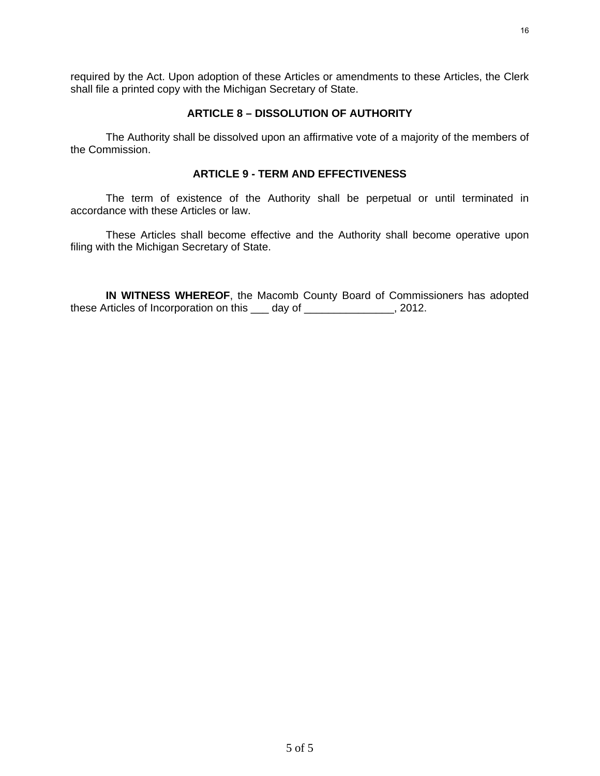required by the Act. Upon adoption of these Articles or amendments to these Articles, the Clerk shall file a printed copy with the Michigan Secretary of State.

#### 1B**ARTICLE 8 – DISSOLUTION OF AUTHORITY**

The Authority shall be dissolved upon an affirmative vote of a majority of the members of the Commission.

#### 2B**ARTICLE 9 - TERM AND EFFECTIVENESS**

The term of existence of the Authority shall be perpetual or until terminated in accordance with these Articles or law.

These Articles shall become effective and the Authority shall become operative upon filing with the Michigan Secretary of State.

**IN WITNESS WHEREOF**, the Macomb County Board of Commissioners has adopted these Articles of Incorporation on this \_\_\_ day of \_\_\_\_\_\_\_\_\_\_\_\_\_\_\_, 2012.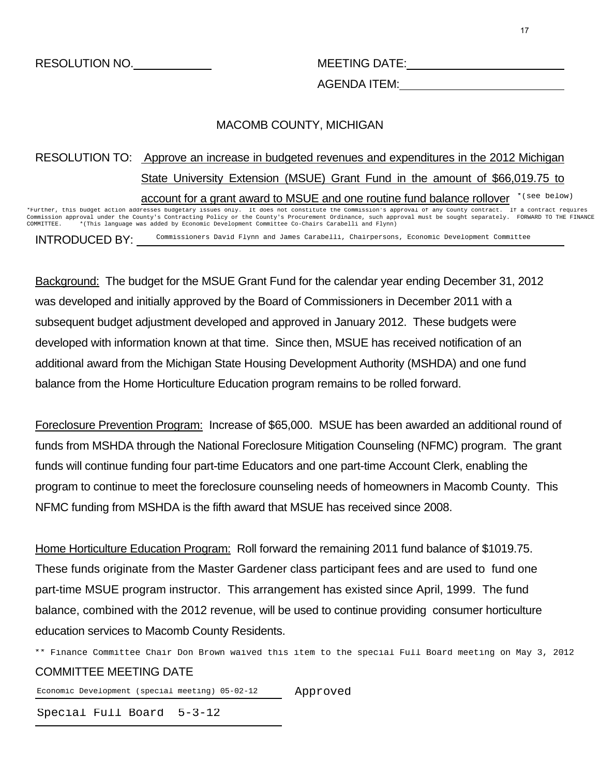AGENDA ITEM:

### MACOMB COUNTY, MICHIGAN

# RESOLUTION TO: Approve an increase in budgeted revenues and expenditures in the 2012 Michigan State University Extension (MSUE) Grant Fund in the amount of \$66,019.75 to account for a grant award to MSUE and one routine fund balance rollover \* (see below)

INTRODUCED BY: \*Further, this budget action addresses budgetary issues only. It does not constitute the Commission's approval of any County contract. If a contract requires Commission approval under the County's Contracting Policy or the County's Procurement Ordinance, such approval must be sought separately. FORWARD TO THE FINANCE COMMITTEE. \*(This language was added by Economic Development Committee Co-Chairs Carabelli and Flynn) Commissioners David Flynn and James Carabelli, Chairpersons, Economic Development Committee

Background: The budget for the MSUE Grant Fund for the calendar year ending December 31, 2012 was developed and initially approved by the Board of Commissioners in December 2011 with a subsequent budget adjustment developed and approved in January 2012. These budgets were developed with information known at that time. Since then, MSUE has received notification of an additional award from the Michigan State Housing Development Authority (MSHDA) and one fund balance from the Home Horticulture Education program remains to be rolled forward.

Foreclosure Prevention Program: Increase of \$65,000. MSUE has been awarded an additional round of funds from MSHDA through the National Foreclosure Mitigation Counseling (NFMC) program. The grant funds will continue funding four part-time Educators and one part-time Account Clerk, enabling the program to continue to meet the foreclosure counseling needs of homeowners in Macomb County. This NFMC funding from MSHDA is the fifth award that MSUE has received since 2008.

Home Horticulture Education Program: Roll forward the remaining 2011 fund balance of \$1019.75. These funds originate from the Master Gardener class participant fees and are used to fund one part-time MSUE program instructor. This arrangement has existed since April, 1999. The fund balance, combined with the 2012 revenue, will be used to continue providing consumer horticulture education services to Macomb County Residents.

\*\* Finance Committee Chair Don Brown waived this item to the special Full Board meeting on May 3, 2012<br> **COMMITTEE MEETING DATE**<br>
Economic Development (special meeting) 05-02-12 Approved COMMITTEE MEETING DATE

Economic Development (special meeting) 05-02-12 Approved

Special Full Board 5-3-12